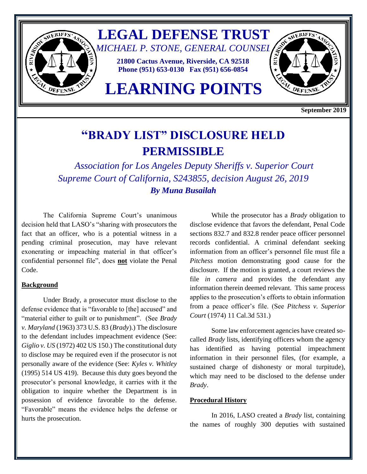

**September 2019**

# **"BRADY LIST" DISCLOSURE HELD PERMISSIBLE**

*Association for Los Angeles Deputy Sheriffs v. Superior Court Supreme Court of California, S243855, decision August 26, 2019 By Muna Busailah* 

The California Supreme Court's unanimous decision held that LASO's "sharing with prosecutors the fact that an officer, who is a potential witness in a pending criminal prosecution, may have relevant exonerating or impeaching material in that officer's confidential personnel file", does **not** violate the Penal Code.

### **Background**

Under Brady, a prosecutor must disclose to the defense evidence that is "favorable to [the] accused" and "material either to guilt or to punishment". (See *Brady v. Maryland* (1963) 373 U.S. 83 (*Brady*).) The disclosure to the defendant includes impeachment evidence (See: *Giglio v. US* (1972) 402 US 150.) The constitutional duty to disclose may be required even if the prosecutor is not personally aware of the evidence (See: *Kyles v. Whitley* (1995) 514 US 419). Because this duty goes beyond the prosecutor's personal knowledge, it carries with it the obligation to inquire whether the Department is in possession of evidence favorable to the defense. "Favorable" means the evidence helps the defense or hurts the prosecution.

While the prosecutor has a *Brady* obligation to disclose evidence that favors the defendant, Penal Code sections 832.7 and 832.8 render peace officer personnel records confidential. A criminal defendant seeking information from an officer's personnel file must file a *Pitchess* motion demonstrating good cause for the disclosure. If the motion is granted, a court reviews the file *in camera* and provides the defendant any information therein deemed relevant. This same process applies to the prosecution's efforts to obtain information from a peace officer's file. (See *Pitchess v. Superior Court* (1974) 11 Cal.3d 531.)

Some law enforcement agencies have created socalled *Brady* lists, identifying officers whom the agency has identified as having potential impeachment information in their personnel files, (for example, a sustained charge of dishonesty or moral turpitude), which may need to be disclosed to the defense under *Brady*.

## **Procedural History**

In 2016, LASO created a *Brady* list, containing the names of roughly 300 deputies with sustained